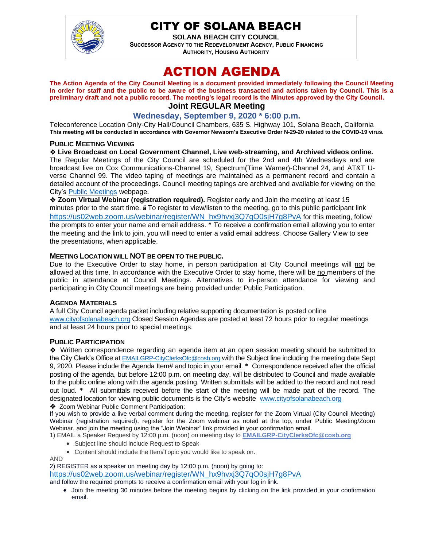

# CITY OF SOLANA BEACH

**SOLANA BEACH CITY COUNCIL SUCCESSOR AGENCY TO THE REDEVELOPMENT AGENCY, PUBLIC FINANCING AUTHORITY, HOUSING AUTHORITY** 

# ACTION AGENDA

**The Action Agenda of the City Council Meeting is a document provided immediately following the Council Meeting in order for staff and the public to be aware of the business transacted and actions taken by Council. This is a preliminary draft and not a public record. The meeting's legal record is the Minutes approved by the City Council. Joint REGULAR Meeting**

# **Wednesday, September 9, 2020 \* 6:00 p.m.**

Teleconference Location Only-City Hall/Council Chambers, 635 S. Highway 101, Solana Beach, California **This meeting will be conducted in accordance with Governor Newsom's Executive Order N-29-20 related to the COVID-19 virus.**

#### **PUBLIC MEETING VIEWING**

❖ **Live Broadcast on Local Government Channel, Live web-streaming, and Archived videos online.** The Regular Meetings of the City Council are scheduled for the 2nd and 4th Wednesdays and are broadcast live on Cox Communications-Channel 19, Spectrum(Time Warner)-Channel 24, and AT&T Uverse Channel 99. The video taping of meetings are maintained as a permanent record and contain a detailed account of the proceedings. Council meeting tapings are archived and available for viewing on the City's [Public Meetings](https://urldefense.proofpoint.com/v2/url?u=https-3A__www.ci.solana-2Dbeach.ca.us_index.asp-3FSEC-3DF0F1200D-2D21C6-2D4A88-2D8AE1-2D0BC07C1A81A7-26Type-3DB-5FBASIC&d=DwMFAg&c=euGZstcaTDllvimEN8b7jXrwqOf-v5A_CdpgnVfiiMM&r=1XAsCUuqwK_tji2t0s1uIQ&m=wny2RVfZJ2tN24LkqZmkUWNpwL_peNtTZUBlTBZiMM4&s=WwpcEQpHHkFen6nS6q2waMuQ_VMZ-i1YZ60lD-dYRRE&e=) webpage.

❖ **Zoom Virtual Webinar (registration required).** Register early and Join the meeting at least 15 minutes prior to the start time. **ã** To register to view/listen to the meeting, go to this public participant link [https://us02web.zoom.us/webinar/register/WN\\_hx9hvxj3Q7qO0sjH7g8PvA](https://us02web.zoom.us/webinar/register/WN_hx9hvxj3Q7qO0sjH7g8PvA) for this meeting, follow the prompts to enter your name and email address. **\*** To receive a confirmation email allowing you to enter the meeting and the link to join, you will need to enter a valid email address. Choose Gallery View to see the presentations, when applicable.

#### **MEETING LOCATION WILL NOT BE OPEN TO THE PUBLIC.**

Due to the Executive Order to stay home, in person participation at City Council meetings will not be allowed at this time. In accordance with the Executive Order to stay home, there will be no members of the public in attendance at Council Meetings. Alternatives to in-person attendance for viewing and participating in City Council meetings are being provided under Public Participation.

#### **AGENDA MATERIALS**

A full City Council agenda packet including relative supporting documentation is posted online [www.cityofsolanabeach.org](http://www.cityofsolanabeach.org/) Closed Session Agendas are posted at least 72 hours prior to regular meetings and at least 24 hours prior to special meetings.

#### **PUBLIC PARTICIPATION**

❖Written correspondence regarding an agenda item at an open session meeting should be submitted to the City Clerk's Office at [EMAILGRP-CityClerksOfc@cosb.org](mailto:EMAILGRP-CityClerksOfc@cosb.org) with the Subject line including the meeting date Sept 9, 2020. Please include the Agenda Item# and topic in your email. **\*** Correspondence received after the official posting of the agenda, but before 12:00 p.m. on meeting day, will be distributed to Council and made available to the public online along with the agenda posting. Written submittals will be added to the record and not read out loud. **\*** All submittals received before the start of the meeting will be made part of the record. The designated location for viewing public documents is the City's website [www.cityofsolanabeach.org](http://www.cityofsolanabeach.org/)

❖ Zoom Webinar Public Comment Participation:

If you wish to provide a live verbal comment during the meeting, register for the Zoom Virtual (City Council Meeting) Webinar (registration required), register for the Zoom webinar as noted at the top, under Public Meeting/Zoom Webinar, and join the meeting using the "Join Webinar" link provided in your confirmation email.

1) EMAIL a Speaker Request by 12:00 p.m. (noon) on meeting day to **[EMAILGRP-CityClerksOfc@cosb.org](mailto:EMAILGRP-CityClerksOfc@cosb.org)**

- Subject line should include Request to Speak
- Content should include the Item/Topic you would like to speak on.

AND

2) REGISTER as a speaker on meeting day by 12:00 p.m. (noon) by going to: [https://us02web.zoom.us/webinar/register/WN\\_hx9hvxj3Q7qO0sjH7g8PvA](https://us02web.zoom.us/webinar/register/WN_hx9hvxj3Q7qO0sjH7g8PvA)

and follow the required prompts to receive a confirmation email with your log in link.

• Join the meeting 30 minutes before the meeting begins by clicking on the link provided in your confirmation email.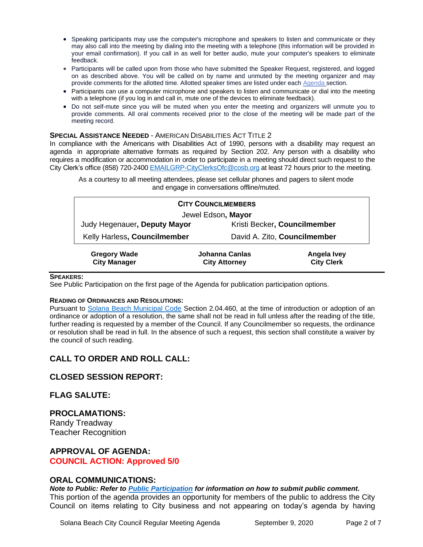- Speaking participants may use the computer's microphone and speakers to listen and communicate or they may also call into the meeting by dialing into the meeting with a telephone (this information will be provided in your email confirmation). If you call in as well for better audio, mute your computer's speakers to eliminate feedback.
- Participants will be called upon from those who have submitted the Speaker Request, registered, and logged on as described above. You will be called on by name and unmuted by the meeting organizer and may provide comments for the allotted time. Allotted speaker times are listed under eac[h Agenda s](https://urldefense.proofpoint.com/v2/url?u=https-3A__www.ci.solana-2Dbeach.ca.us_index.asp-3FSEC-3DF0F1200D-2D21C6-2D4A88-2D8AE1-2D0BC07C1A81A7-26Type-3DB-5FBASIC&d=DwMFaQ&c=euGZstcaTDllvimEN8b7jXrwqOf-v5A_CdpgnVfiiMM&r=1XAsCUuqwK_tji2t0s1uIQ&m=C7WzXfOw2_nkEFMJClT55zZsF4tmIf_7KTn0o1WpYqI&s=3DcsWExM2_nx_xpvFtXslUjphiXd0MDCCF18y_Qy5yU&e=)ection.
- Participants can use a computer microphone and speakers to listen and communicate or dial into the meeting with a telephone (if you log in and call in, mute one of the devices to eliminate feedback).
- Do not self-mute since you will be muted when you enter the meeting and organizers will unmute you to provide comments. All oral comments received prior to the close of the meeting will be made part of the meeting record.

#### **SPECIAL ASSISTANCE NEEDED** - AMERICAN DISABILITIES ACT TITLE 2

In compliance with the Americans with Disabilities Act of 1990, persons with a disability may request an agenda in appropriate alternative formats as required by Section 202. Any person with a disability who requires a modification or accommodation in order to participate in a meeting should direct such request to the City Clerk's office (858) 720-2400 [EMAILGRP-CityClerksOfc@cosb.org](mailto:EMAILGRP-CityClerksOfc@cosb.org) at least 72 hours prior to the meeting.

As a courtesy to all meeting attendees, please set cellular phones and pagers to silent mode and engage in conversations offline/muted.

| <b>CITY COUNCILMEMBERS</b>                 |                                        |                                  |  |
|--------------------------------------------|----------------------------------------|----------------------------------|--|
| Jewel Edson, Mayor                         |                                        |                                  |  |
| Judy Hegenauer, Deputy Mayor               |                                        | Kristi Becker, Councilmember     |  |
| Kelly Harless, Councilmember               |                                        | David A. Zito, Councilmember     |  |
| <b>Gregory Wade</b><br><b>City Manager</b> | Johanna Canlas<br><b>City Attorney</b> | Angela Ivey<br><b>City Clerk</b> |  |

#### **SPEAKERS:**

See Public Participation on the first page of the Agenda for publication participation options.

#### **READING OF ORDINANCES AND RESOLUTIONS:**

Pursuant to [Solana Beach Municipal Code](mailto:https://www.codepublishing.com/CA/SolanaBeach/) Section 2.04.460, at the time of introduction or adoption of an ordinance or adoption of a resolution, the same shall not be read in full unless after the reading of the title, further reading is requested by a member of the Council. If any Councilmember so requests, the ordinance or resolution shall be read in full. In the absence of such a request, this section shall constitute a waiver by the council of such reading.

## **CALL TO ORDER AND ROLL CALL:**

#### **CLOSED SESSION REPORT:**

#### **FLAG SALUTE:**

**PROCLAMATIONS:** Randy Treadway Teacher Recognition

**APPROVAL OF AGENDA: COUNCIL ACTION: Approved 5/0**

#### **ORAL COMMUNICATIONS:**

*Note to Public: Refer to Public Participation for information on how to submit public comment.*  This portion of the agenda provides an opportunity for members of the public to address the City Council on items relating to City business and not appearing on today's agenda by having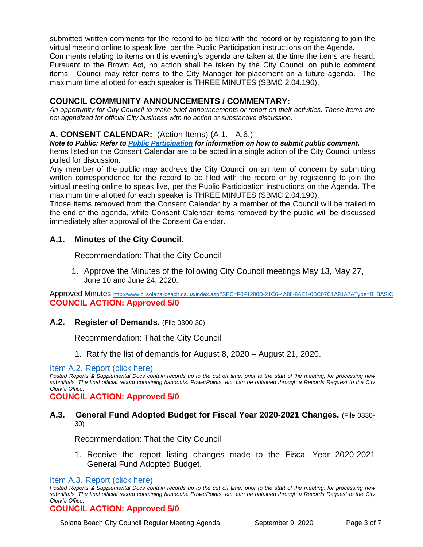submitted written comments for the record to be filed with the record or by registering to join the virtual meeting online to speak live, per the Public Participation instructions on the Agenda. Comments relating to items on this evening's agenda are taken at the time the items are heard. Pursuant to the Brown Act, no action shall be taken by the City Council on public comment items. Council may refer items to the City Manager for placement on a future agenda. The maximum time allotted for each speaker is THREE MINUTES (SBMC 2.04.190).

# **COUNCIL COMMUNITY ANNOUNCEMENTS / COMMENTARY:**

*An opportunity for City Council to make brief announcements or report on their activities. These items are not agendized for official City business with no action or substantive discussion.* 

# **A. CONSENT CALENDAR:** (Action Items) (A.1. - A.6.)

*Note to Public: Refer to Public Participation for information on how to submit public comment.* 

Items listed on the Consent Calendar are to be acted in a single action of the City Council unless pulled for discussion.

Any member of the public may address the City Council on an item of concern by submitting written correspondence for the record to be filed with the record or by registering to join the virtual meeting online to speak live, per the Public Participation instructions on the Agenda. The maximum time allotted for each speaker is THREE MINUTES (SBMC 2.04.190).

Those items removed from the Consent Calendar by a member of the Council will be trailed to the end of the agenda, while Consent Calendar items removed by the public will be discussed immediately after approval of the Consent Calendar.

## **A.1. Minutes of the City Council.**

Recommendation: That the City Council

1. Approve the Minutes of the following City Council meetings May 13, May 27, June 10 and June 24, 2020.

Approved Minutes [http://www.ci.solana-beach.ca.us/index.asp?SEC=F0F1200D-21C6-4A88-8AE1-0BC07C1A81A7&Type=B\\_BASIC](http://www.ci.solana-beach.ca.us/index.asp?SEC=F0F1200D-21C6-4A88-8AE1-0BC07C1A81A7&Type=B_BASIC) **COUNCIL ACTION: Approved 5/0**

## **A.2. Register of Demands.** (File 0300-30)

Recommendation: That the City Council

1. Ratify the list of demands for August 8, 2020 – August 21, 2020.

#### [Item A.2. Report \(click here\)](https://solanabeach.govoffice3.com/vertical/Sites/%7B840804C2-F869-4904-9AE3-720581350CE7%7D/uploads/Item_A.2._Report_(click_here)_09-09-20-O.pdf)

*Posted Reports & Supplemental Docs contain records up to the cut off time, prior to the start of the meeting, for processing new submittals. The final official record containing handouts, PowerPoints, etc. can be obtained through a Records Request to the City Clerk's Office.*

**COUNCIL ACTION: Approved 5/0**

## **A.3. General Fund Adopted Budget for Fiscal Year 2020-2021 Changes.** (File 0330- 30)

Recommendation: That the City Council

1. Receive the report listing changes made to the Fiscal Year 2020-2021 General Fund Adopted Budget.

[Item A.3. Report \(click here\)](https://solanabeach.govoffice3.com/vertical/Sites/%7B840804C2-F869-4904-9AE3-720581350CE7%7D/uploads/Item_A.3._Report_(click_here)_09-09-20-O.pdf)

#### **COUNCIL ACTION: Approved 5/0**

Solana Beach City Council Regular Meeting Agenda September 9, 2020 Page 3 of 7

*Posted Reports & Supplemental Docs contain records up to the cut off time, prior to the start of the meeting, for processing new submittals. The final official record containing handouts, PowerPoints, etc. can be obtained through a Records Request to the City Clerk's Office.*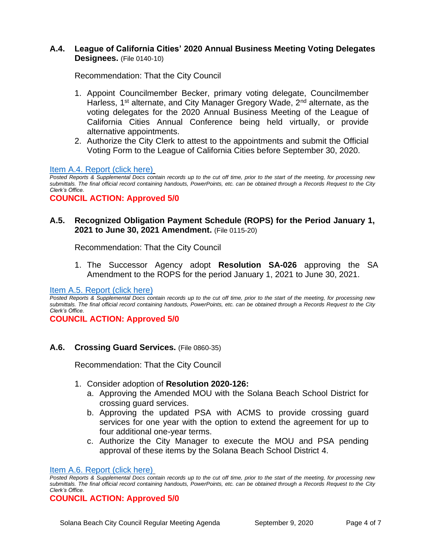# **A.4. League of California Cities' 2020 Annual Business Meeting Voting Delegates Designees.** (File 0140-10)

Recommendation: That the City Council

- 1. Appoint Councilmember Becker, primary voting delegate, Councilmember Harless, 1<sup>st</sup> alternate, and City Manager Gregory Wade, 2<sup>nd</sup> alternate, as the voting delegates for the 2020 Annual Business Meeting of the League of California Cities Annual Conference being held virtually, or provide alternative appointments.
- 2. Authorize the City Clerk to attest to the appointments and submit the Official Voting Form to the League of California Cities before September 30, 2020.

## [Item A.4. Report \(click here\)](https://solanabeach.govoffice3.com/vertical/Sites/%7B840804C2-F869-4904-9AE3-720581350CE7%7D/uploads/Item_A.4._Report_(click_here)_09-09-20-O.pdf)

*Posted Reports & Supplemental Docs contain records up to the cut off time, prior to the start of the meeting, for processing new submittals. The final official record containing handouts, PowerPoints, etc. can be obtained through a Records Request to the City Clerk's Office.*

**COUNCIL ACTION: Approved 5/0**

## **A.5. Recognized Obligation Payment Schedule (ROPS) for the Period January 1, 2021 to June 30, 2021 Amendment.** (File 0115-20)

Recommendation: That the City Council

1. The Successor Agency adopt **Resolution SA-026** approving the SA Amendment to the ROPS for the period January 1, 2021 to June 30, 2021.

[Item A.5. Report \(click here\)](https://solanabeach.govoffice3.com/vertical/Sites/%7B840804C2-F869-4904-9AE3-720581350CE7%7D/uploads/Item_A.5._Report_(click_here)_09-09-20_-_O.pdf)

*Posted Reports & Supplemental Docs contain records up to the cut off time, prior to the start of the meeting, for processing new submittals. The final official record containing handouts, PowerPoints, etc. can be obtained through a Records Request to the City Clerk's Office.*

**COUNCIL ACTION: Approved 5/0**

## **A.6. Crossing Guard Services.** (File 0860-35)

Recommendation: That the City Council

- 1. Consider adoption of **Resolution 2020-126:** 
	- a. Approving the Amended MOU with the Solana Beach School District for crossing guard services.
	- b. Approving the updated PSA with ACMS to provide crossing guard services for one year with the option to extend the agreement for up to four additional one-year terms.
	- c. Authorize the City Manager to execute the MOU and PSA pending approval of these items by the Solana Beach School District 4.

[Item A.6. Report \(click here\)](https://solanabeach.govoffice3.com/vertical/Sites/%7B840804C2-F869-4904-9AE3-720581350CE7%7D/uploads/Item_A.6._Report_(click_here)_09-09-20-O.pdf)

*Posted Reports & Supplemental Docs contain records up to the cut off time, prior to the start of the meeting, for processing new submittals. The final official record containing handouts, PowerPoints, etc. can be obtained through a Records Request to the City Clerk's Office.*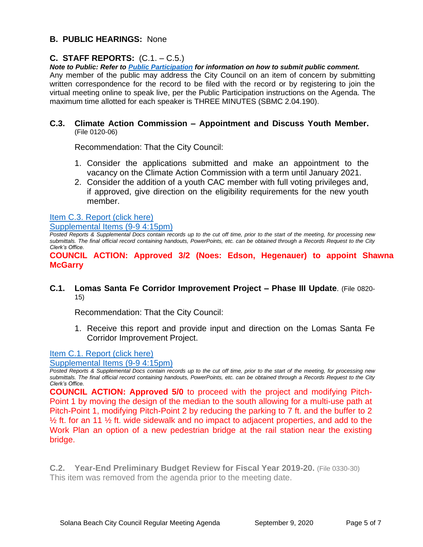# **B. PUBLIC HEARINGS:** None

# **C. STAFF REPORTS:** (C.1. – C.5.)

*Note to Public: Refer to Public Participation for information on how to submit public comment.*  Any member of the public may address the City Council on an item of concern by submitting written correspondence for the record to be filed with the record or by registering to join the virtual meeting online to speak live, per the Public Participation instructions on the Agenda. The maximum time allotted for each speaker is THREE MINUTES (SBMC 2.04.190).

#### **C.3. Climate Action Commission – Appointment and Discuss Youth Member.** (File 0120-06)

Recommendation: That the City Council:

- 1. Consider the applications submitted and make an appointment to the vacancy on the Climate Action Commission with a term until January 2021.
- 2. Consider the addition of a youth CAC member with full voting privileges and, if approved, give direction on the eligibility requirements for the new youth member.

# [Item C.3. Report \(click here\)](https://solanabeach.govoffice3.com/vertical/Sites/%7B840804C2-F869-4904-9AE3-720581350CE7%7D/uploads/Item_C.3._Report_(click_here)_09-09-20-O.pdf)

[Supplemental Items \(9-9 4:15pm\)](https://solanabeach.govoffice3.com/vertical/Sites/%7B840804C2-F869-4904-9AE3-720581350CE7%7D/uploads/Item_C.3._Supplemental_Docs_(Upd_9-9_at_410pm)_-_O.pdf)

*Posted Reports & Supplemental Docs contain records up to the cut off time, prior to the start of the meeting, for processing new submittals. The final official record containing handouts, PowerPoints, etc. can be obtained through a Records Request to the City Clerk's Office.*

**COUNCIL ACTION: Approved 3/2 (Noes: Edson, Hegenauer) to appoint Shawna McGarry**

## **C.1. Lomas Santa Fe Corridor Improvement Project – Phase III Update**. (File 0820- 15)

Recommendation: That the City Council:

1. Receive this report and provide input and direction on the Lomas Santa Fe Corridor Improvement Project.

# [Item C.1. Report \(click here\)](https://solanabeach.govoffice3.com/vertical/Sites/%7B840804C2-F869-4904-9AE3-720581350CE7%7D/uploads/Item_C.1._Report_(click_here)_09-09-20-O.pdf)

[Supplemental Items \(9-9 4:15pm\)](https://solanabeach.govoffice3.com/vertical/Sites/%7B840804C2-F869-4904-9AE3-720581350CE7%7D/uploads/Item_C.1._Supplemental_Docs_(Upd_9-9_at_400pm)_-_O.pdf)

*Posted Reports & Supplemental Docs contain records up to the cut off time, prior to the start of the meeting, for processing new submittals. The final official record containing handouts, PowerPoints, etc. can be obtained through a Records Request to the City Clerk's Office.*

**COUNCIL ACTION: Approved 5/0** to proceed with the project and modifying Pitch-Point 1 by moving the design of the median to the south allowing for a multi-use path at Pitch-Point 1, modifying Pitch-Point 2 by reducing the parking to 7 ft. and the buffer to 2  $\frac{1}{2}$  ft. for an 11  $\frac{1}{2}$  ft. wide sidewalk and no impact to adjacent properties, and add to the Work Plan an option of a new pedestrian bridge at the rail station near the existing bridge.

**C.2. Year-End Preliminary Budget Review for Fiscal Year 2019-20.** (File 0330-30) This item was removed from the agenda prior to the meeting date.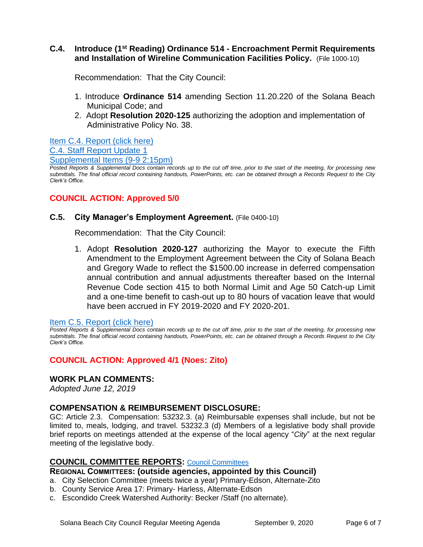## **C.4. Introduce (1st Reading) Ordinance 514 - Encroachment Permit Requirements and Installation of Wireline Communication Facilities Policy.** (File 1000-10)

Recommendation: That the City Council:

- 1. Introduce **Ordinance 514** amending Section 11.20.220 of the Solana Beach Municipal Code; and
- 2. Adopt **Resolution 2020-125** authorizing the adoption and implementation of Administrative Policy No. 38.

[Item C.4. Report \(click here\)](https://solanabeach.govoffice3.com/vertical/Sites/%7B840804C2-F869-4904-9AE3-720581350CE7%7D/uploads/Item_C.4._Report_(click_here)_09-09-20-O.pdf) [C.4. Staff Report Update 1](https://solanabeach.govoffice3.com/vertical/Sites/%7B840804C2-F869-4904-9AE3-720581350CE7%7D/uploads/C.4._Staff_Report_Update_1_09-090-20.pdf) [Supplemental Items \(9-9 2:15pm\)](https://solanabeach.govoffice3.com/vertical/Sites/%7B840804C2-F869-4904-9AE3-720581350CE7%7D/uploads/Item_C.4._Supplemental_Docs_(Upd_9-9_at_105pm)_-_O.pdf)

*Posted Reports & Supplemental Docs contain records up to the cut off time, prior to the start of the meeting, for processing new submittals. The final official record containing handouts, PowerPoints, etc. can be obtained through a Records Request to the City Clerk's Office.*

# **COUNCIL ACTION: Approved 5/0**

## **C.5. City Manager's Employment Agreement.** (File 0400-10)

Recommendation: That the City Council:

1. Adopt **Resolution 2020-127** authorizing the Mayor to execute the Fifth Amendment to the Employment Agreement between the City of Solana Beach and Gregory Wade to reflect the \$1500.00 increase in deferred compensation annual contribution and annual adjustments thereafter based on the Internal Revenue Code section 415 to both Normal Limit and Age 50 Catch-up Limit and a one-time benefit to cash-out up to 80 hours of vacation leave that would have been accrued in FY 2019-2020 and FY 2020-201.

#### [Item C.5. Report \(click here\)](https://solanabeach.govoffice3.com/vertical/Sites/%7B840804C2-F869-4904-9AE3-720581350CE7%7D/uploads/Item_C.5._Report_(click_here)_09-09-20-O.pdf)

*Posted Reports & Supplemental Docs contain records up to the cut off time, prior to the start of the meeting, for processing new submittals. The final official record containing handouts, PowerPoints, etc. can be obtained through a Records Request to the City Clerk's Office.*

# **COUNCIL ACTION: Approved 4/1 (Noes: Zito)**

## **WORK PLAN COMMENTS:**

*Adopted June 12, 2019*

## **COMPENSATION & REIMBURSEMENT DISCLOSURE:**

GC: Article 2.3. Compensation: 53232.3. (a) Reimbursable expenses shall include, but not be limited to, meals, lodging, and travel. 53232.3 (d) Members of a legislative body shall provide brief reports on meetings attended at the expense of the local agency "*City*" at the next regular meeting of the legislative body.

## **COUNCIL COMMITTEE REPORTS:** [Council Committees](https://www.ci.solana-beach.ca.us/index.asp?SEC=584E1192-3850-46EA-B977-088AC3E81E0D&Type=B_BASIC)

**REGIONAL COMMITTEES: (outside agencies, appointed by this Council)**

- a. City Selection Committee (meets twice a year) Primary-Edson, Alternate-Zito
- b. County Service Area 17: Primary- Harless, Alternate-Edson
- c. Escondido Creek Watershed Authority: Becker /Staff (no alternate).